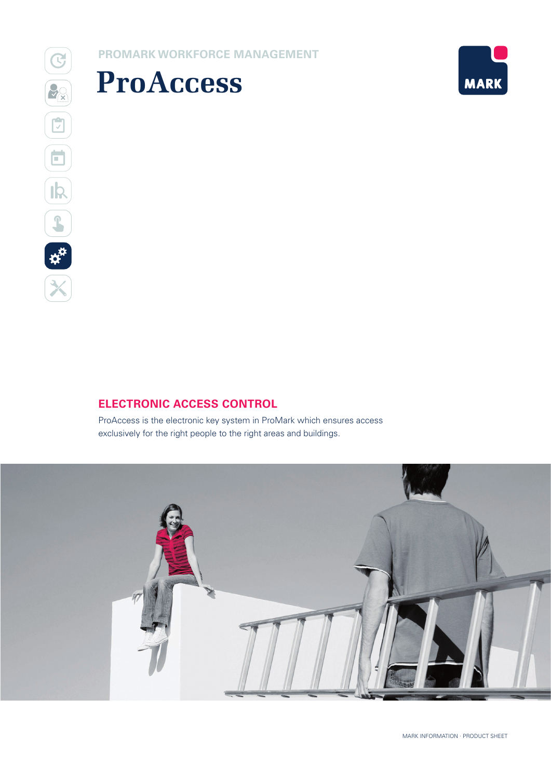

# **ProAccess**



## **ELECTRONIC ACCESS CONTROL**

ProAccess is the electronic key system in ProMark which ensures access exclusively for the right people to the right areas and buildings.

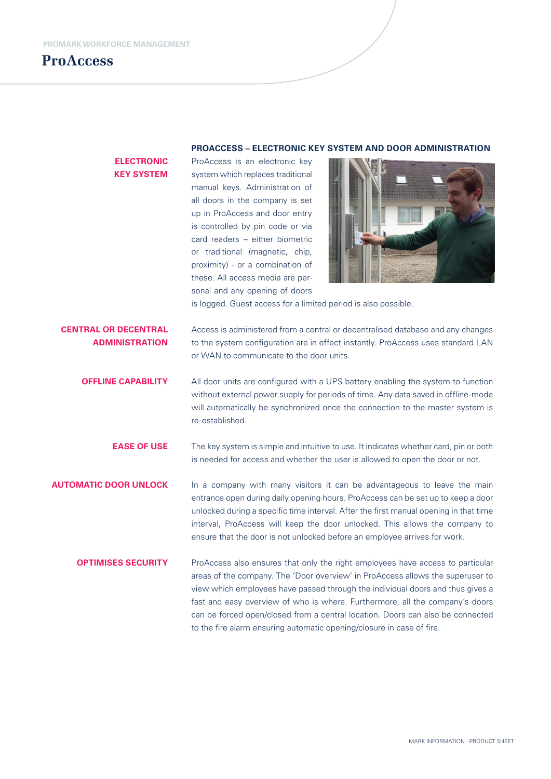**ProAccess**

#### **PROACCESS – ELECTRONIC KEY SYSTEM AND DOOR ADMINISTRATION**

## **ELECTRONIC KEY SYSTEM**

ProAccess is an electronic key system which replaces traditional manual keys. Administration of all doors in the company is set up in ProAccess and door entry is controlled by pin code or via card readers – either biometric or traditional (magnetic, chip, proximity) - or a combination of these. All access media are personal and any opening of doors



is logged. Guest access for a limited period is also possible.

**CENTRAL OR DECENTRAL ADMINISTRATION** Access is administered from a central or decentralised database and any changes to the system configuration are in effect instantly. ProAccess uses standard LAN or WAN to communicate to the door units.

**OFFLINE CAPABILITY** All door units are configured with a UPS battery enabling the system to function without external power supply for periods of time. Any data saved in offline-mode will automatically be synchronized once the connection to the master system is re-established.

**EASE OF USE** The key system is simple and intuitive to use. It indicates whether card, pin or both is needed for access and whether the user is allowed to open the door or not.

**AUTOMATIC DOOR UNLOCK** In a company with many visitors it can be advantageous to leave the main entrance open during daily opening hours. ProAccess can be set up to keep a door unlocked during a specific time interval. After the first manual opening in that time interval, ProAccess will keep the door unlocked. This allows the company to ensure that the door is not unlocked before an employee arrives for work.

**OPTIMISES SECURITY** ProAccess also ensures that only the right employees have access to particular areas of the company. The 'Door overview' in ProAccess allows the superuser to view which employees have passed through the individual doors and thus gives a fast and easy overview of who is where. Furthermore, all the company's doors can be forced open/closed from a central location. Doors can also be connected to the fire alarm ensuring automatic opening/closure in case of fire.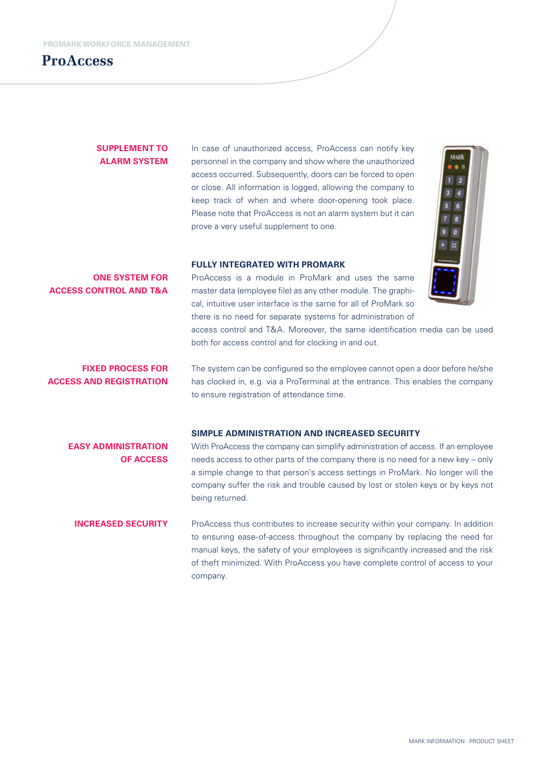**ProAccess**

## **SUPPLEMENT TO ALARM SYSTEM**

**ONE SYSTEM FOR** 

In case of unauthorized access, ProAccess can notify key personnel in the company and show where the unauthorized access occurred. Subsequently, doors can be forced to open or close. All information is logged, allowing the company to keep track of when and where door-opening took place. Please note that ProAccess is not an alarm system but it can prove a very useful supplement to one.



#### **FULLY INTEGRATED WITH PROMARK**

ProAccess is a module in ProMark and uses the same master data (employee file) as any other module. The graphical, intuitive user interface is the same for all of ProMark so there is no need for separate systems for administration of

access control and T&A. Moreover, the same identification media can be used both for access control and for clocking in and out.

**FIXED PROCESS FOR ACCESS AND REGISTRATION**

**ACCESS CONTROL AND T&A**

The system can be configured so the employee cannot open a door before he/she has clocked in, e.g. via a ProTerminal at the entrance. This enables the company to ensure registration of attendance time.

#### **SIMPLE ADMINISTRATION AND INCREASED SECURITY**

**EASY ADMINISTRATION OF ACCESS** With ProAccess the company can simplify administration of access. If an employee needs access to other parts of the company there is no need for a new key – only a simple change to that person's access settings in ProMark. No longer will the company suffer the risk and trouble caused by lost or stolen keys or by keys not being returned.

**INCREASED SECURITY** ProAccess thus contributes to increase security within your company. In addition to ensuring ease-of-access throughout the company by replacing the need for manual keys, the safety of your employees is significantly increased and the risk of theft minimized. With ProAccess you have complete control of access to your company.